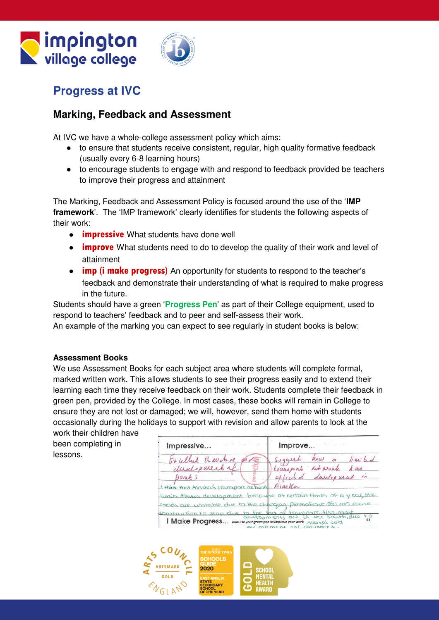# **Canadian Semington**



## **Progress at IVC**

## **Marking, Feedback and Assessment**

At IVC we have a whole-college assessment policy which aims:

- to ensure that students receive consistent, regular, high quality formative feedback (usually every 6-8 learning hours)
- to encourage students to engage with and respond to feedback provided be teachers to improve their progress and attainment

The Marking, Feedback and Assessment Policy is focused around the use of the '**IMP framework**'. The 'IMP framework' clearly identifies for students the following aspects of their work:

- **impressive** What students have done well
- **improve** What students need to do to develop the quality of their work and level of attainment
- **imp (i make progress)** An opportunity for students to respond to the teacher's feedback and demonstrate their understanding of what is required to make progress in the future.

Students should have a green '**Progress Pen**' as part of their College equipment, used to respond to teachers' feedback and to peer and self-assess their work.

An example of the marking you can expect to see regularly in student books is below:

#### **Assessment Books**

We use Assessment Books for each subject area where students will complete formal, marked written work. This allows students to see their progress easily and to extend their learning each time they receive feedback on their work. Students complete their feedback in green pen, provided by the College. In most cases, these books will remain in College to ensure they are not lost or damaged; we will, however, send them home with students occasionally during the holidays to support with revision and allow parents to look at the

work their children have been completing in lessons.

Impressive... Improve... Suggert  $h_{\alpha}\omega$  a limi bd Fx ullut st where dustipment a Evansport retwork Las affected durilop usual in Dont S  $AlagKa$ I think that Alaska's Eransport ne hunt limits Alesko's development becau be at certain times of a year, the roads are unstable due to the changing permafrost. This can cause Obstruction to stop due to the lack of transport. 4150.000.

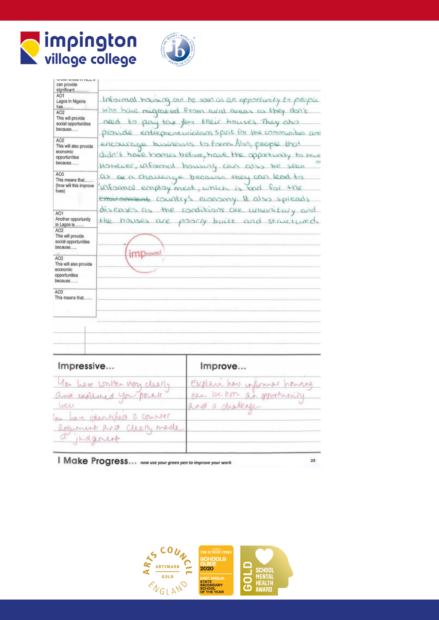



| where scool to make 9<br>can provide                                              |                                                                                                                                                                 |
|-----------------------------------------------------------------------------------|-----------------------------------------------------------------------------------------------------------------------------------------------------------------|
| significant<br>AO1<br>Lagos in Nigeria<br>has<br>AO <sub>2</sub>                  | Informal housing can be seen as an opportunity to people<br>Who have migrated from rural areas as they don't                                                    |
| This will provide<br>social opportunities<br>because                              | need to pay tax for their bouses. They also<br>provide entrepreneurialism spirit for the communities and                                                        |
| AO <sub>2</sub><br>This will also provide<br>economic<br>opportunities<br>because | encourage businesses to form Also, people that<br>didn't have homes before, have the opportunity to have<br>ÖN<br>However, informal housing can also<br>be seen |
| AO <sub>3</sub><br>This means that<br>(how will this improve<br>lives)            | as a a chausing a because they can<br>$Lcd +o$<br>informal employ ment, which is bad<br>$+120$<br>environment country's economy it also spiearly                |
| AO1<br>Another opportunity<br>in Lagos is                                         | diseases as the conditions are unsanifary<br>the houses are poorly built and structured.                                                                        |
| AO <sub>2</sub><br>This will provide<br>social opportunities<br>because           | im Droved                                                                                                                                                       |
| AO2<br>This will also provide<br>economic<br>opportunities<br>because             |                                                                                                                                                                 |
| AO3<br>This means that                                                            |                                                                                                                                                                 |
|                                                                                   |                                                                                                                                                                 |
|                                                                                   |                                                                                                                                                                 |
|                                                                                   |                                                                                                                                                                 |
|                                                                                   |                                                                                                                                                                 |

| Impressive                    | Improve                     |  |
|-------------------------------|-----------------------------|--|
| You have written very clearly | EXplain how informed honorg |  |
| and explaned your park        | can be born an opportunity  |  |
| WICAN                         | and a chatterger            |  |
| In have identified a counter  |                             |  |
| Reponent Red Cleary made      |                             |  |
| a indgener                    |                             |  |
|                               |                             |  |

I Make Progress... now use your green pen to improve your work



25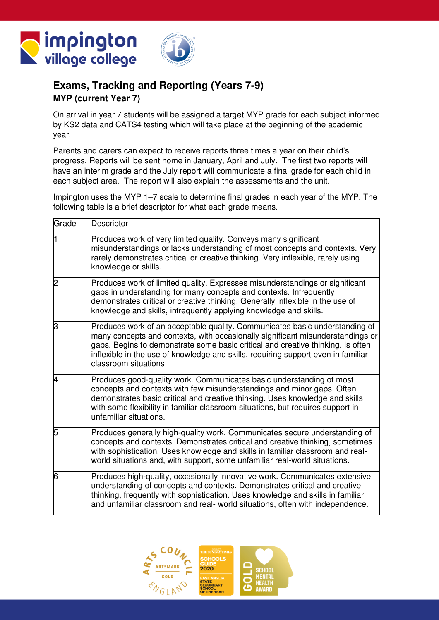



#### **Exams, Tracking and Reporting (Years 7-9) MYP (current Year 7)**

On arrival in year 7 students will be assigned a target MYP grade for each subject informed by KS2 data and CATS4 testing which will take place at the beginning of the academic year.

Parents and carers can expect to receive reports three times a year on their child's progress. Reports will be sent home in January, April and July. The first two reports will have an interim grade and the July report will communicate a final grade for each child in each subject area. The report will also explain the assessments and the unit.

Impington uses the MYP 1–7 scale to determine final grades in each year of the MYP. The following table is a brief descriptor for what each grade means.

| Grade | Descriptor                                                                                                                                                                                                                                                                                                                                                    |
|-------|---------------------------------------------------------------------------------------------------------------------------------------------------------------------------------------------------------------------------------------------------------------------------------------------------------------------------------------------------------------|
| l1    | Produces work of very limited quality. Conveys many significant<br>misunderstandings or lacks understanding of most concepts and contexts. Very<br>rarely demonstrates critical or creative thinking. Very inflexible, rarely using<br>knowledge or skills.                                                                                                   |
| 2     | Produces work of limited quality. Expresses misunderstandings or significant<br>gaps in understanding for many concepts and contexts. Infrequently<br>demonstrates critical or creative thinking. Generally inflexible in the use of<br>knowledge and skills, infrequently applying knowledge and skills.                                                     |
| З     | Produces work of an acceptable quality. Communicates basic understanding of<br>many concepts and contexts, with occasionally significant misunderstandings or<br>gaps. Begins to demonstrate some basic critical and creative thinking. Is often<br>inflexible in the use of knowledge and skills, requiring support even in familiar<br>classroom situations |
| 4     | Produces good-quality work. Communicates basic understanding of most<br>concepts and contexts with few misunderstandings and minor gaps. Often<br>demonstrates basic critical and creative thinking. Uses knowledge and skills<br>with some flexibility in familiar classroom situations, but requires support in<br>unfamiliar situations.                   |
| 5     | Produces generally high-quality work. Communicates secure understanding of<br>concepts and contexts. Demonstrates critical and creative thinking, sometimes<br>with sophistication. Uses knowledge and skills in familiar classroom and real-<br>world situations and, with support, some unfamiliar real-world situations.                                   |
| 6     | Produces high-quality, occasionally innovative work. Communicates extensive<br>understanding of concepts and contexts. Demonstrates critical and creative<br>thinking, frequently with sophistication. Uses knowledge and skills in familiar<br>and unfamiliar classroom and real- world situations, often with independence.                                 |

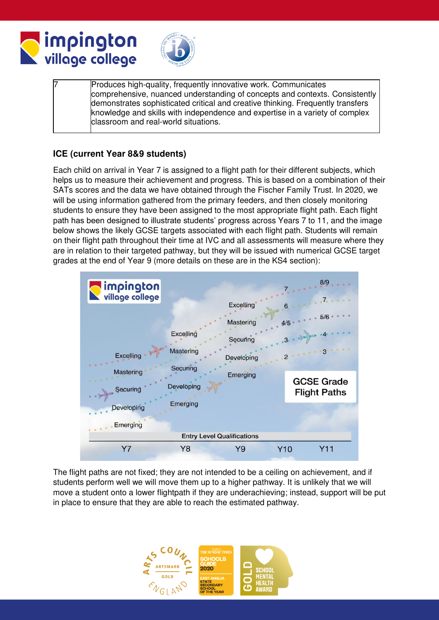



Produces high-quality, frequently innovative work. Communicates comprehensive, nuanced understanding of concepts and contexts. Consistently demonstrates sophisticated critical and creative thinking. Frequently transfers knowledge and skills with independence and expertise in a variety of complex classroom and real-world situations.

#### **ICE (current Year 8&9 students)**

Each child on arrival in Year 7 is assigned to a flight path for their different subjects, which helps us to measure their achievement and progress. This is based on a combination of their SATs scores and the data we have obtained through the Fischer Family Trust. In 2020, we will be using information gathered from the primary feeders, and then closely monitoring students to ensure they have been assigned to the most appropriate flight path. Each flight path has been designed to illustrate students' progress across Years 7 to 11, and the image below shows the likely GCSE targets associated with each flight path. Students will remain on their flight path throughout their time at IVC and all assessments will measure where they are in relation to their targeted pathway, but they will be issued with numerical GCSE target grades at the end of Year 9 (more details on these are in the KS4 section):



The flight paths are not fixed; they are not intended to be a ceiling on achievement, and if students perform well we will move them up to a higher pathway. It is unlikely that we will move a student onto a lower flightpath if they are underachieving; instead, support will be put in place to ensure that they are able to reach the estimated pathway.

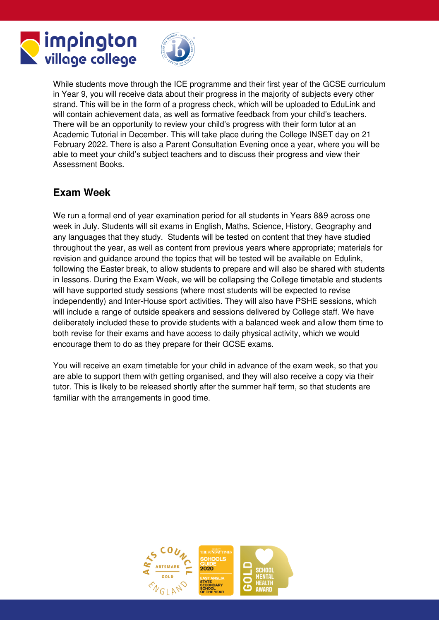



While students move through the ICE programme and their first year of the GCSE curriculum in Year 9, you will receive data about their progress in the majority of subjects every other strand. This will be in the form of a progress check, which will be uploaded to EduLink and will contain achievement data, as well as formative feedback from your child's teachers. There will be an opportunity to review your child's progress with their form tutor at an Academic Tutorial in December. This will take place during the College INSET day on 21 February 2022. There is also a Parent Consultation Evening once a year, where you will be able to meet your child's subject teachers and to discuss their progress and view their Assessment Books.

## **Exam Week**

We run a formal end of year examination period for all students in Years 8&9 across one week in July. Students will sit exams in English, Maths, Science, History, Geography and any languages that they study. Students will be tested on content that they have studied throughout the year, as well as content from previous years where appropriate; materials for revision and guidance around the topics that will be tested will be available on Edulink, following the Easter break, to allow students to prepare and will also be shared with students in lessons. During the Exam Week, we will be collapsing the College timetable and students will have supported study sessions (where most students will be expected to revise independently) and Inter-House sport activities. They will also have PSHE sessions, which will include a range of outside speakers and sessions delivered by College staff. We have deliberately included these to provide students with a balanced week and allow them time to both revise for their exams and have access to daily physical activity, which we would encourage them to do as they prepare for their GCSE exams.

You will receive an exam timetable for your child in advance of the exam week, so that you are able to support them with getting organised, and they will also receive a copy via their tutor. This is likely to be released shortly after the summer half term, so that students are familiar with the arrangements in good time.

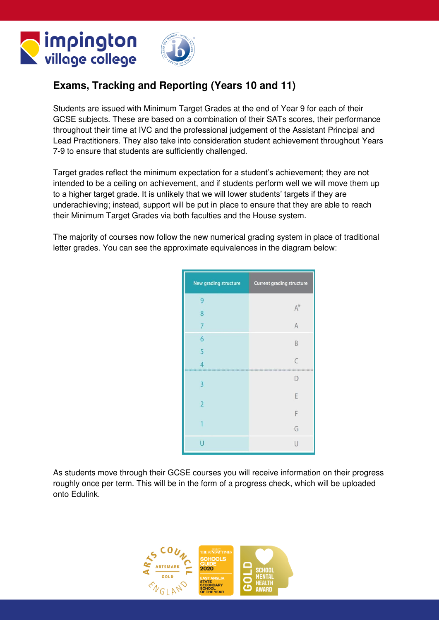



## **Exams, Tracking and Reporting (Years 10 and 11)**

Students are issued with Minimum Target Grades at the end of Year 9 for each of their GCSE subjects. These are based on a combination of their SATs scores, their performance throughout their time at IVC and the professional judgement of the Assistant Principal and Lead Practitioners. They also take into consideration student achievement throughout Years 7-9 to ensure that students are sufficiently challenged.

Target grades reflect the minimum expectation for a student's achievement; they are not intended to be a ceiling on achievement, and if students perform well we will move them up to a higher target grade. It is unlikely that we will lower students' targets if they are underachieving; instead, support will be put in place to ensure that they are able to reach their Minimum Target Grades via both faculties and the House system.

The majority of courses now follow the new numerical grading system in place of traditional letter grades. You can see the approximate equivalences in the diagram below:

| New grading structure | <b>Current grading structure</b> |
|-----------------------|----------------------------------|
| 9                     |                                  |
| 8                     | $A^*$                            |
| 7                     | $\overline{A}$                   |
| 6                     | B                                |
| $\overline{5}$        |                                  |
| $\overline{4}$        | $\overline{C}$                   |
| З                     | D                                |
| $\overline{2}$        | E                                |
|                       | F                                |
|                       | G                                |
| П                     | $\overline{1}$                   |

As students move through their GCSE courses you will receive information on their progress roughly once per term. This will be in the form of a progress check, which will be uploaded onto Edulink.